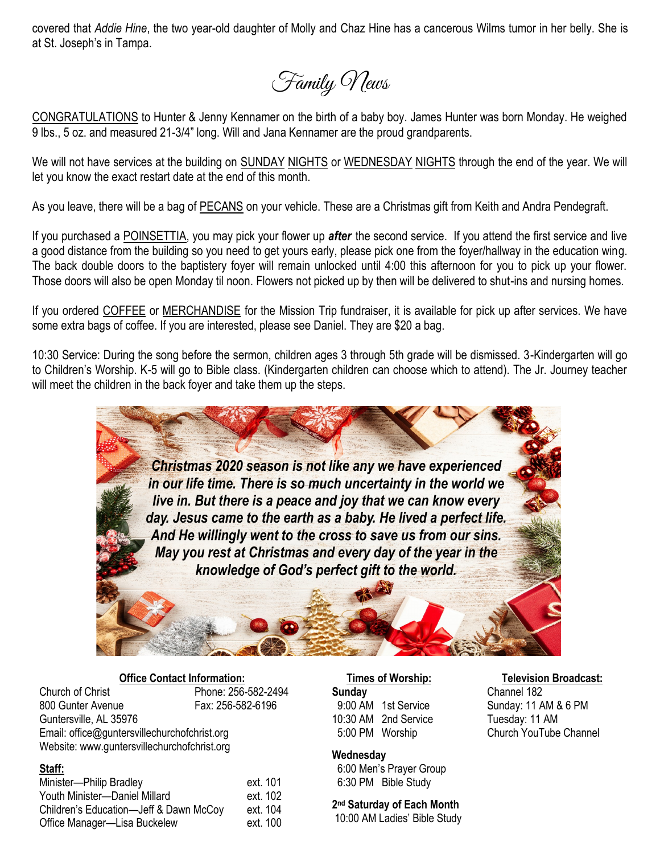covered that *Addie Hine*, the two year-old daughter of Molly and Chaz Hine has a cancerous Wilms tumor in her belly. She is at St. Joseph's in Tampa.

Family News

CONGRATULATIONS to Hunter & Jenny Kennamer on the birth of a baby boy. James Hunter was born Monday. He weighed 9 lbs., 5 oz. and measured 21-3/4" long. Will and Jana Kennamer are the proud grandparents.

We will not have services at the building on SUNDAY NIGHTS or WEDNESDAY NIGHTS through the end of the year. We will let you know the exact restart date at the end of this month.

As you leave, there will be a bag of PECANS on your vehicle. These are a Christmas gift from Keith and Andra Pendegraft.

If you purchased a POINSETTIA, you may pick your flower up *after* the second service. If you attend the first service and live a good distance from the building so you need to get yours early, please pick one from the foyer/hallway in the education wing. The back double doors to the baptistery foyer will remain unlocked until 4:00 this afternoon for you to pick up your flower. Those doors will also be open Monday til noon. Flowers not picked up by then will be delivered to shut-ins and nursing homes.

If you ordered COFFEE or MERCHANDISE for the Mission Trip fundraiser, it is available for pick up after services. We have some extra bags of coffee. If you are interested, please see Daniel. They are \$20 a bag.

10:30 Service: During the song before the sermon, children ages 3 through 5th grade will be dismissed. 3-Kindergarten will go to Children's Worship. K-5 will go to Bible class. (Kindergarten children can choose which to attend). The Jr. Journey teacher will meet the children in the back foyer and take them up the steps.



### **Office Contact Information:**

Church of Christ Phone: 256-582-2494 800 Gunter Avenue Fax: 256-582-6196 Guntersville, AL 35976 Email: office@guntersvillechurchofchrist.org Website: www.guntersvillechurchofchrist.org

#### **Staff:**

| Minister-Philip Bradley                | ext. 101 |
|----------------------------------------|----------|
| Youth Minister-Daniel Millard          | ext. 102 |
| Children's Education-Jeff & Dawn McCoy | ext. 104 |
| Office Manager-Lisa Buckelew           | ext. 100 |

# **Times of Worship: Television Broadcast:**

10:30 AM 2nd Service Tuesday: 11 AM

#### **Wednesday**

 6:00 Men's Prayer Group 6:30 PM Bible Study

**2 nd Saturday of Each Month** 10:00 AM Ladies' Bible Study

**Sunday** Channel 182 9:00 AM 1st Service Sunday: 11 AM & 6 PM 5:00 PM Worship Church YouTube Channel